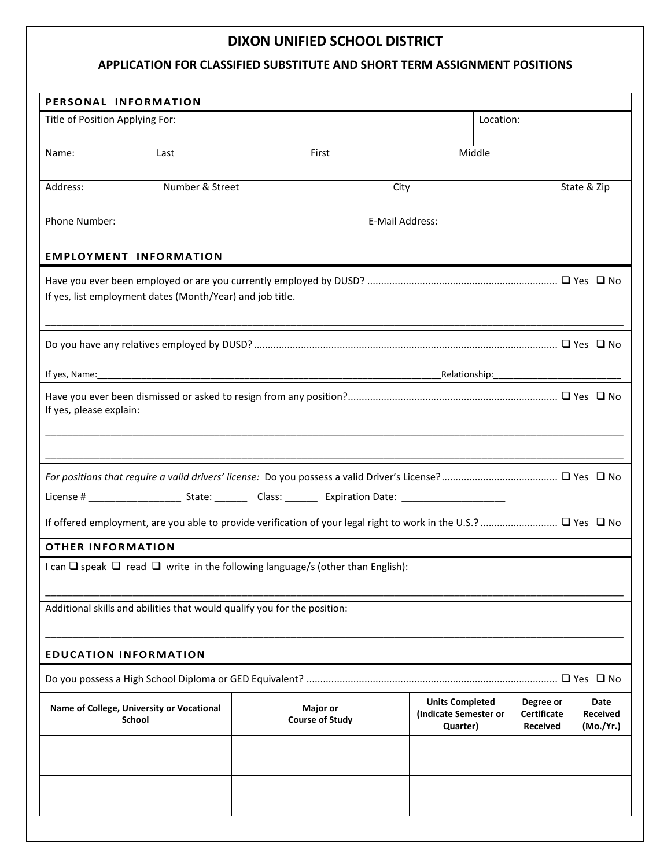## **DIXON UNIFIED SCHOOL DISTRICT**

## **APPLICATION FOR CLASSIFIED SUBSTITUTE AND SHORT TERM ASSIGNMENT POSITIONS**

| PERSONAL INFORMATION                                                                          |                                    |                                                             |                                                    |                                      |  |
|-----------------------------------------------------------------------------------------------|------------------------------------|-------------------------------------------------------------|----------------------------------------------------|--------------------------------------|--|
| Title of Position Applying For:                                                               |                                    |                                                             | Location:                                          |                                      |  |
| Name:<br>Last                                                                                 | First                              | Middle                                                      |                                                    |                                      |  |
| Number & Street<br>Address:                                                                   | City                               |                                                             |                                                    | State & Zip                          |  |
| <b>Phone Number:</b>                                                                          | E-Mail Address:                    |                                                             |                                                    |                                      |  |
| <b>EMPLOYMENT INFORMATION</b>                                                                 |                                    |                                                             |                                                    |                                      |  |
| If yes, list employment dates (Month/Year) and job title.                                     |                                    |                                                             |                                                    |                                      |  |
|                                                                                               |                                    |                                                             |                                                    |                                      |  |
|                                                                                               |                                    |                                                             |                                                    |                                      |  |
| If yes, please explain:                                                                       |                                    |                                                             |                                                    |                                      |  |
|                                                                                               |                                    |                                                             |                                                    |                                      |  |
|                                                                                               |                                    |                                                             |                                                    |                                      |  |
|                                                                                               |                                    |                                                             |                                                    |                                      |  |
| <b>OTHER INFORMATION</b>                                                                      |                                    |                                                             |                                                    |                                      |  |
| I can $\Box$ speak $\Box$ read $\Box$ write in the following language/s (other than English): |                                    |                                                             |                                                    |                                      |  |
| Additional skills and abilities that would qualify you for the position:                      |                                    |                                                             |                                                    |                                      |  |
| <b>EDUCATION INFORMATION</b>                                                                  |                                    |                                                             |                                                    |                                      |  |
|                                                                                               |                                    |                                                             |                                                    |                                      |  |
| Name of College, University or Vocational<br><b>School</b>                                    | Major or<br><b>Course of Study</b> | <b>Units Completed</b><br>(Indicate Semester or<br>Quarter) | Degree or<br><b>Certificate</b><br><b>Received</b> | Date<br><b>Received</b><br>(Mo./Yr.) |  |
|                                                                                               |                                    |                                                             |                                                    |                                      |  |
|                                                                                               |                                    |                                                             |                                                    |                                      |  |
|                                                                                               |                                    |                                                             |                                                    |                                      |  |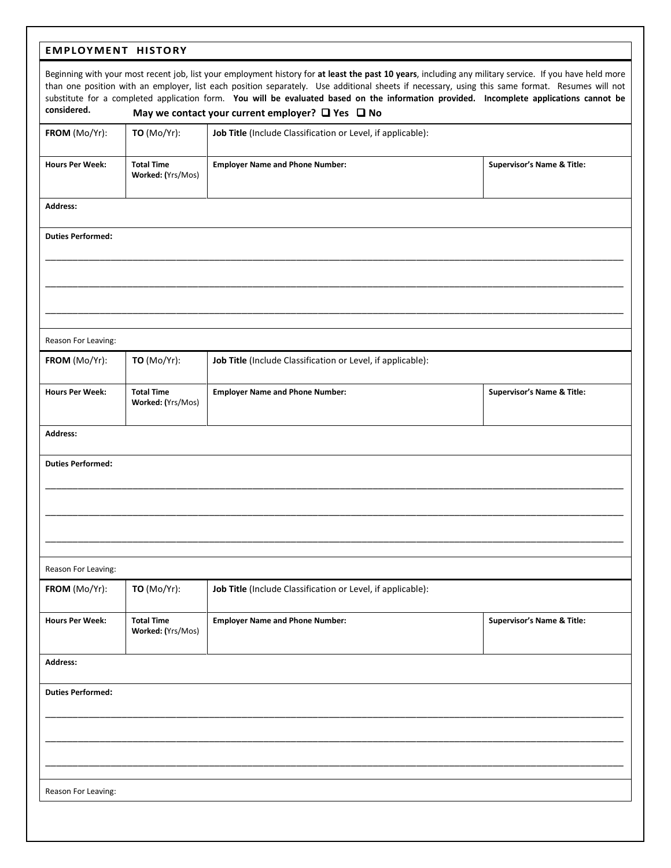## **EMPLOYMENT HISTORY**

| Beginning with your most recent job, list your employment history for at least the past 10 years, including any military service. If you have held more<br>than one position with an employer, list each position separately. Use additional sheets if necessary, using this same format. Resumes will not<br>substitute for a completed application form. You will be evaluated based on the information provided. Incomplete applications cannot be<br>considered.<br>May we contact your current employer? $\Box$ Yes $\Box$ No |                                        |                                                             |                                       |  |  |  |
|------------------------------------------------------------------------------------------------------------------------------------------------------------------------------------------------------------------------------------------------------------------------------------------------------------------------------------------------------------------------------------------------------------------------------------------------------------------------------------------------------------------------------------|----------------------------------------|-------------------------------------------------------------|---------------------------------------|--|--|--|
| FROM (Mo/Yr):                                                                                                                                                                                                                                                                                                                                                                                                                                                                                                                      | <b>TO</b> (Mo/Yr):                     | Job Title (Include Classification or Level, if applicable): |                                       |  |  |  |
|                                                                                                                                                                                                                                                                                                                                                                                                                                                                                                                                    |                                        |                                                             |                                       |  |  |  |
| <b>Hours Per Week:</b>                                                                                                                                                                                                                                                                                                                                                                                                                                                                                                             | <b>Total Time</b><br>Worked: (Yrs/Mos) | <b>Employer Name and Phone Number:</b>                      | <b>Supervisor's Name &amp; Title:</b> |  |  |  |
| <b>Address:</b>                                                                                                                                                                                                                                                                                                                                                                                                                                                                                                                    |                                        |                                                             |                                       |  |  |  |
| <b>Duties Performed:</b>                                                                                                                                                                                                                                                                                                                                                                                                                                                                                                           |                                        |                                                             |                                       |  |  |  |
|                                                                                                                                                                                                                                                                                                                                                                                                                                                                                                                                    |                                        |                                                             |                                       |  |  |  |
|                                                                                                                                                                                                                                                                                                                                                                                                                                                                                                                                    |                                        |                                                             |                                       |  |  |  |
| Reason For Leaving:                                                                                                                                                                                                                                                                                                                                                                                                                                                                                                                |                                        |                                                             |                                       |  |  |  |
| FROM (Mo/Yr):                                                                                                                                                                                                                                                                                                                                                                                                                                                                                                                      | <b>TO</b> (Mo/Yr):                     | Job Title (Include Classification or Level, if applicable): |                                       |  |  |  |
| <b>Hours Per Week:</b>                                                                                                                                                                                                                                                                                                                                                                                                                                                                                                             | <b>Total Time</b><br>Worked: (Yrs/Mos) | <b>Employer Name and Phone Number:</b>                      | <b>Supervisor's Name &amp; Title:</b> |  |  |  |
| <b>Address:</b>                                                                                                                                                                                                                                                                                                                                                                                                                                                                                                                    |                                        |                                                             |                                       |  |  |  |
| <b>Duties Performed:</b>                                                                                                                                                                                                                                                                                                                                                                                                                                                                                                           |                                        |                                                             |                                       |  |  |  |
|                                                                                                                                                                                                                                                                                                                                                                                                                                                                                                                                    |                                        |                                                             |                                       |  |  |  |
|                                                                                                                                                                                                                                                                                                                                                                                                                                                                                                                                    |                                        |                                                             |                                       |  |  |  |
| Reason For Leaving:                                                                                                                                                                                                                                                                                                                                                                                                                                                                                                                |                                        |                                                             |                                       |  |  |  |
| FROM (Mo/Yr):                                                                                                                                                                                                                                                                                                                                                                                                                                                                                                                      | <b>TO</b> (Mo/Yr):                     | Job Title (Include Classification or Level, if applicable): |                                       |  |  |  |
| <b>Hours Per Week:</b>                                                                                                                                                                                                                                                                                                                                                                                                                                                                                                             | <b>Total Time</b><br>Worked: (Yrs/Mos) | <b>Employer Name and Phone Number:</b>                      | <b>Supervisor's Name &amp; Title:</b> |  |  |  |
| <b>Address:</b>                                                                                                                                                                                                                                                                                                                                                                                                                                                                                                                    |                                        |                                                             |                                       |  |  |  |
| <b>Duties Performed:</b>                                                                                                                                                                                                                                                                                                                                                                                                                                                                                                           |                                        |                                                             |                                       |  |  |  |
|                                                                                                                                                                                                                                                                                                                                                                                                                                                                                                                                    |                                        |                                                             |                                       |  |  |  |
|                                                                                                                                                                                                                                                                                                                                                                                                                                                                                                                                    |                                        |                                                             |                                       |  |  |  |
| Reason For Leaving:                                                                                                                                                                                                                                                                                                                                                                                                                                                                                                                |                                        |                                                             |                                       |  |  |  |
|                                                                                                                                                                                                                                                                                                                                                                                                                                                                                                                                    |                                        |                                                             |                                       |  |  |  |